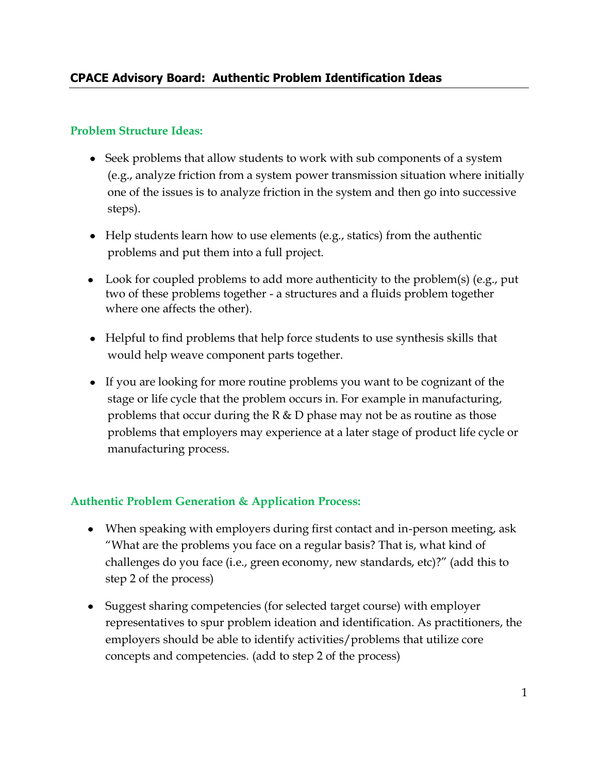## **Problem Structure Ideas:**

- Seek problems that allow students to work with sub components of a system (e.g., analyze friction from a system power transmission situation where initially one of the issues is to analyze friction in the system and then go into successive steps).
- Help students learn how to use elements (e.g., statics) from the authentic problems and put them into a full project.
- Look for coupled problems to add more authenticity to the problem(s) (e.g., put two of these problems together - a structures and a fluids problem together where one affects the other).
- Helpful to find problems that help force students to use synthesis skills that would help weave component parts together.
- If you are looking for more routine problems you want to be cognizant of the stage or life cycle that the problem occurs in. For example in manufacturing, problems that occur during the  $R \& D$  phase may not be as routine as those problems that employers may experience at a later stage of product life cycle or manufacturing process.

## **Authentic Problem Generation & Application Process:**

- When speaking with employers during first contact and in-person meeting, ask "What are the problems you face on a regular basis? That is, what kind of challenges do you face (i.e., green economy, new standards, etc)?" (add this to step 2 of the process)
- Suggest sharing competencies (for selected target course) with employer representatives to spur problem ideation and identification. As practitioners, the employers should be able to identify activities/problems that utilize core concepts and competencies. (add to step 2 of the process)